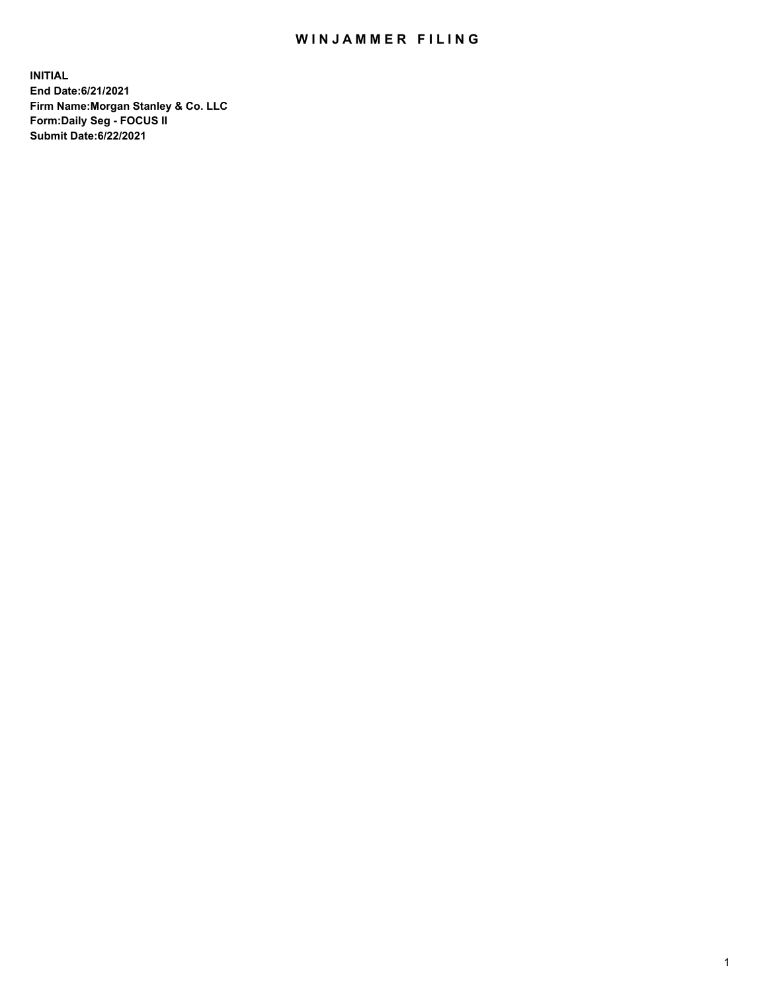## WIN JAMMER FILING

**INITIAL End Date:6/21/2021 Firm Name:Morgan Stanley & Co. LLC Form:Daily Seg - FOCUS II Submit Date:6/22/2021**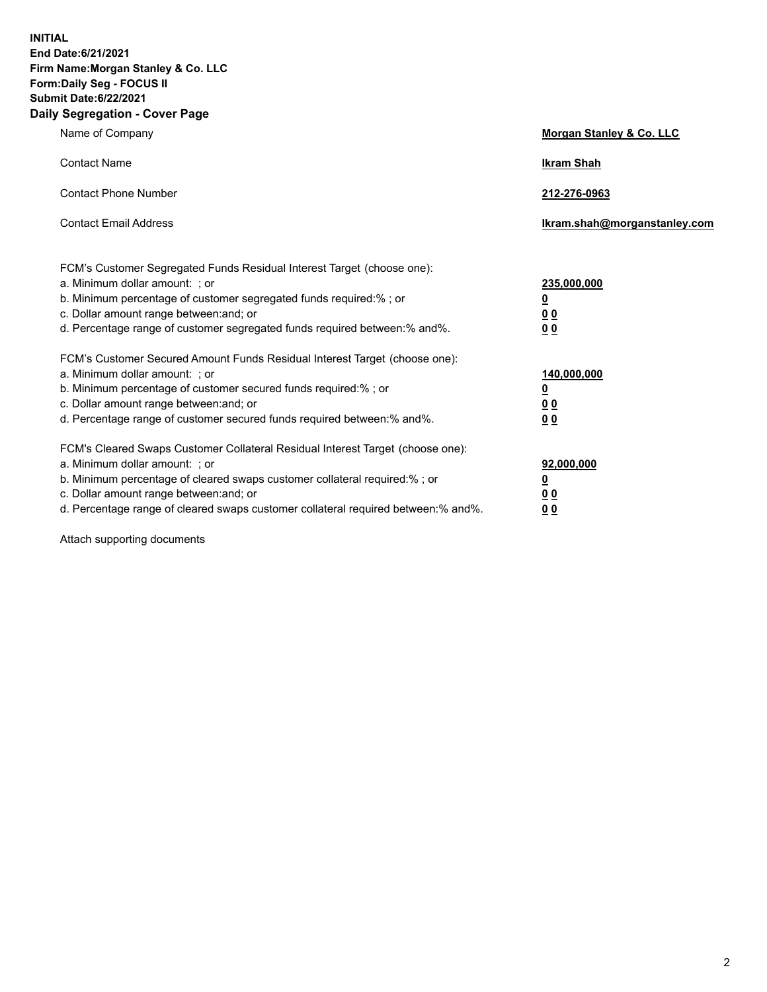**INITIAL End Date:6/21/2021 Firm Name:Morgan Stanley & Co. LLC Form:Daily Seg - FOCUS II Submit Date:6/22/2021 Daily Segregation - Cover Page**

| Name of Company                                                                                                                                                                                                                                                                                                                | Morgan Stanley & Co. LLC                               |
|--------------------------------------------------------------------------------------------------------------------------------------------------------------------------------------------------------------------------------------------------------------------------------------------------------------------------------|--------------------------------------------------------|
| <b>Contact Name</b>                                                                                                                                                                                                                                                                                                            | <b>Ikram Shah</b>                                      |
| <b>Contact Phone Number</b>                                                                                                                                                                                                                                                                                                    | 212-276-0963                                           |
| <b>Contact Email Address</b>                                                                                                                                                                                                                                                                                                   | Ikram.shah@morganstanley.com                           |
| FCM's Customer Segregated Funds Residual Interest Target (choose one):<br>a. Minimum dollar amount: ; or<br>b. Minimum percentage of customer segregated funds required:% ; or<br>c. Dollar amount range between: and; or<br>d. Percentage range of customer segregated funds required between: % and %.                       | 235,000,000<br><u>0</u><br>00<br>0 <sub>0</sub>        |
| FCM's Customer Secured Amount Funds Residual Interest Target (choose one):<br>a. Minimum dollar amount: ; or<br>b. Minimum percentage of customer secured funds required:% ; or<br>c. Dollar amount range between: and; or<br>d. Percentage range of customer secured funds required between:% and%.                           | 140,000,000<br><u>0</u><br><u>00</u><br>0 <sub>0</sub> |
| FCM's Cleared Swaps Customer Collateral Residual Interest Target (choose one):<br>a. Minimum dollar amount: ; or<br>b. Minimum percentage of cleared swaps customer collateral required:% ; or<br>c. Dollar amount range between: and; or<br>d. Percentage range of cleared swaps customer collateral required between:% and%. | 92,000,000<br><u>0</u><br><u>00</u><br>00              |

Attach supporting documents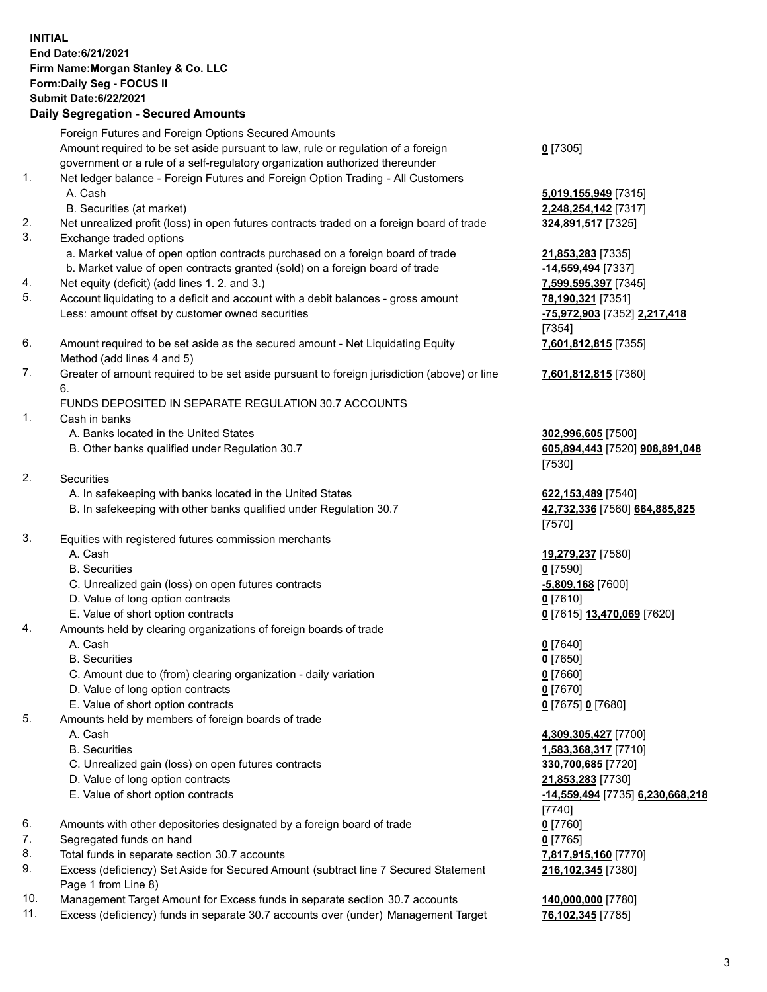## **INITIAL End Date:6/21/2021 Firm Name:Morgan Stanley & Co. LLC Form:Daily Seg - FOCUS II Submit Date:6/22/2021**

**Daily Segregation - Secured Amounts** Foreign Futures and Foreign Options Secured Amounts Amount required to be set aside pursuant to law, rule or regulation of a foreign government or a rule of a self-regulatory organization authorized thereunder 1. Net ledger balance - Foreign Futures and Foreign Option Trading - All Customers A. Cash **5,019,155,949** [7315] B. Securities (at market) **2,248,254,142** [7317] 2. Net unrealized profit (loss) in open futures contracts traded on a foreign board of trade **324,891,517** [7325] 3. Exchange traded options a. Market value of open option contracts purchased on a foreign board of trade **21,853,283** [7335] b. Market value of open contracts granted (sold) on a foreign board of trade **-14,559,494** [7337] 4. Net equity (deficit) (add lines 1. 2. and 3.) **7,599,595,397** [7345] 5. Account liquidating to a deficit and account with a debit balances - gross amount **78,190,321** [7351] Less: amount offset by customer owned securities **-75,972,903** [7352] **2,217,418** 6. Amount required to be set aside as the secured amount - Net Liquidating Equity Method (add lines 4 and 5) 7. Greater of amount required to be set aside pursuant to foreign jurisdiction (above) or line 6. FUNDS DEPOSITED IN SEPARATE REGULATION 30.7 ACCOUNTS 1. Cash in banks A. Banks located in the United States **302,996,605** [7500] B. Other banks qualified under Regulation 30.7 **605,894,443** [7520] **908,891,048** 2. Securities A. In safekeeping with banks located in the United States **622,153,489** [7540] B. In safekeeping with other banks qualified under Regulation 30.7 **42,732,336** [7560] **664,885,825** 3. Equities with registered futures commission merchants A. Cash **19,279,237** [7580] B. Securities **0** [7590] C. Unrealized gain (loss) on open futures contracts **-5,809,168** [7600] D. Value of long option contracts **0** [7610] E. Value of short option contracts **0** [7615] **13,470,069** [7620] 4. Amounts held by clearing organizations of foreign boards of trade A. Cash **0** [7640]

B. Securities **0** [7650]

- C. Amount due to (from) clearing organization daily variation **0** [7660]
- D. Value of long option contracts **0** [7670]
- E. Value of short option contracts **0** [7675] **0** [7680]
- 5. Amounts held by members of foreign boards of trade
	-
	-
	- C. Unrealized gain (loss) on open futures contracts **330,700,685** [7720]
	- D. Value of long option contracts **21,853,283** [7730]
	-
- 6. Amounts with other depositories designated by a foreign board of trade **0** [7760]
- 7. Segregated funds on hand **0** [7765]
- 8. Total funds in separate section 30.7 accounts **7,817,915,160** [7770]
- 9. Excess (deficiency) Set Aside for Secured Amount (subtract line 7 Secured Statement Page 1 from Line 8)
- 10. Management Target Amount for Excess funds in separate section 30.7 accounts **140,000,000** [7780]
- 11. Excess (deficiency) funds in separate 30.7 accounts over (under) Management Target **76,102,345** [7785]

**0** [7305]

[7354] **7,601,812,815** [7355]

**7,601,812,815** [7360]

[7530]

[7570]

 A. Cash **4,309,305,427** [7700] B. Securities **1,583,368,317** [7710] E. Value of short option contracts **-14,559,494** [7735] **6,230,668,218** [7740] **216,102,345** [7380]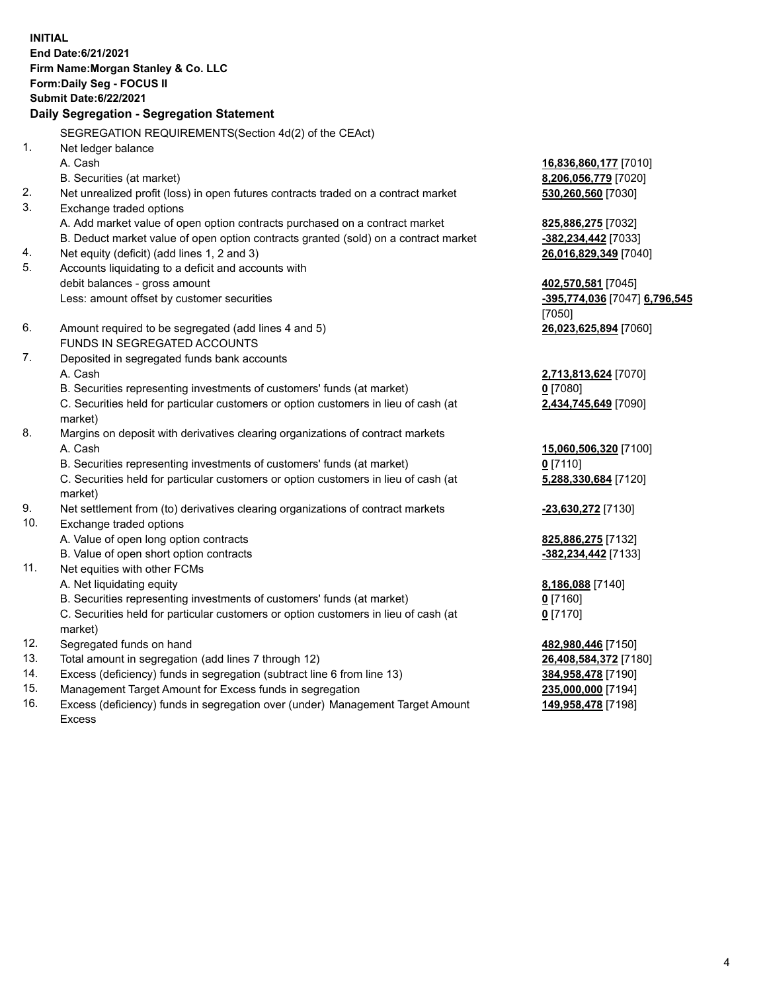**INITIAL End Date:6/21/2021 Firm Name:Morgan Stanley & Co. LLC Form:Daily Seg - FOCUS II Submit Date:6/22/2021 Daily Segregation - Segregation Statement** SEGREGATION REQUIREMENTS(Section 4d(2) of the CEAct) 1. Net ledger balance A. Cash **16,836,860,177** [7010] B. Securities (at market) **8,206,056,779** [7020] 2. Net unrealized profit (loss) in open futures contracts traded on a contract market **530,260,560** [7030] 3. Exchange traded options A. Add market value of open option contracts purchased on a contract market **825,886,275** [7032] B. Deduct market value of open option contracts granted (sold) on a contract market **-382,234,442** [7033] 4. Net equity (deficit) (add lines 1, 2 and 3) **26,016,829,349** [7040] 5. Accounts liquidating to a deficit and accounts with debit balances - gross amount **402,570,581** [7045] Less: amount offset by customer securities **-395,774,036** [7047] **6,796,545** [7050] 6. Amount required to be segregated (add lines 4 and 5) **26,023,625,894** [7060] FUNDS IN SEGREGATED ACCOUNTS 7. Deposited in segregated funds bank accounts A. Cash **2,713,813,624** [7070] B. Securities representing investments of customers' funds (at market) **0** [7080] C. Securities held for particular customers or option customers in lieu of cash (at market) **2,434,745,649** [7090] 8. Margins on deposit with derivatives clearing organizations of contract markets A. Cash **15,060,506,320** [7100] B. Securities representing investments of customers' funds (at market) **0** [7110] C. Securities held for particular customers or option customers in lieu of cash (at market) **5,288,330,684** [7120] 9. Net settlement from (to) derivatives clearing organizations of contract markets **-23,630,272** [7130] 10. Exchange traded options A. Value of open long option contracts **825,886,275** [7132] B. Value of open short option contracts **-382,234,442** [7133] 11. Net equities with other FCMs A. Net liquidating equity **8,186,088** [7140] B. Securities representing investments of customers' funds (at market) **0** [7160] C. Securities held for particular customers or option customers in lieu of cash (at market) **0** [7170] 12. Segregated funds on hand **482,980,446** [7150] 13. Total amount in segregation (add lines 7 through 12) **26,408,584,372** [7180] 14. Excess (deficiency) funds in segregation (subtract line 6 from line 13) **384,958,478** [7190]

- 15. Management Target Amount for Excess funds in segregation **235,000,000** [7194]
- 16. Excess (deficiency) funds in segregation over (under) Management Target Amount Excess

**149,958,478** [7198]